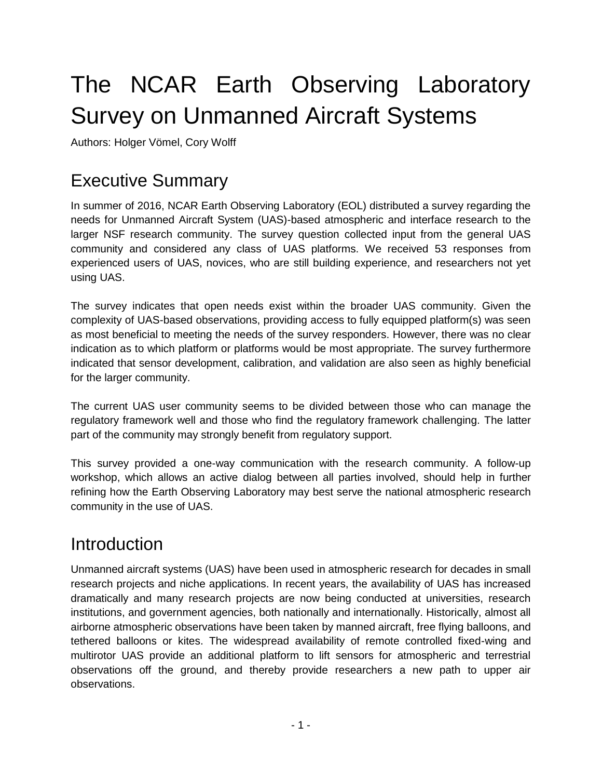# The NCAR Earth Observing Laboratory Survey on Unmanned Aircraft Systems

Authors: Holger Vömel, Cory Wolff

## Executive Summary

In summer of 2016, NCAR Earth Observing Laboratory (EOL) distributed a survey regarding the needs for Unmanned Aircraft System (UAS)-based atmospheric and interface research to the larger NSF research community. The survey question collected input from the general UAS community and considered any class of UAS platforms. We received 53 responses from experienced users of UAS, novices, who are still building experience, and researchers not yet using UAS.

The survey indicates that open needs exist within the broader UAS community. Given the complexity of UAS-based observations, providing access to fully equipped platform(s) was seen as most beneficial to meeting the needs of the survey responders. However, there was no clear indication as to which platform or platforms would be most appropriate. The survey furthermore indicated that sensor development, calibration, and validation are also seen as highly beneficial for the larger community.

The current UAS user community seems to be divided between those who can manage the regulatory framework well and those who find the regulatory framework challenging. The latter part of the community may strongly benefit from regulatory support.

This survey provided a one-way communication with the research community. A follow-up workshop, which allows an active dialog between all parties involved, should help in further refining how the Earth Observing Laboratory may best serve the national atmospheric research community in the use of UAS.

## **Introduction**

Unmanned aircraft systems (UAS) have been used in atmospheric research for decades in small research projects and niche applications. In recent years, the availability of UAS has increased dramatically and many research projects are now being conducted at universities, research institutions, and government agencies, both nationally and internationally. Historically, almost all airborne atmospheric observations have been taken by manned aircraft, free flying balloons, and tethered balloons or kites. The widespread availability of remote controlled fixed-wing and multirotor UAS provide an additional platform to lift sensors for atmospheric and terrestrial observations off the ground, and thereby provide researchers a new path to upper air observations.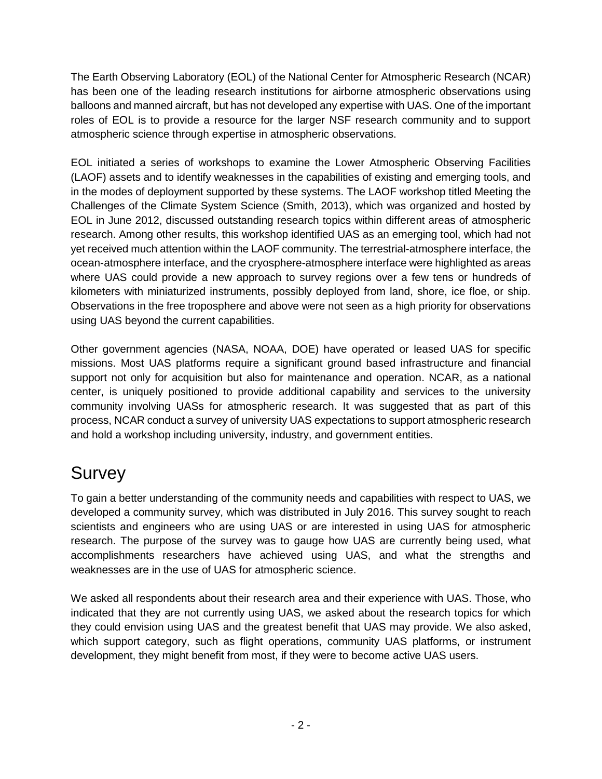The Earth Observing Laboratory (EOL) of the National Center for Atmospheric Research (NCAR) has been one of the leading research institutions for airborne atmospheric observations using balloons and manned aircraft, but has not developed any expertise with UAS. One of the important roles of EOL is to provide a resource for the larger NSF research community and to support atmospheric science through expertise in atmospheric observations.

EOL initiated a series of workshops to examine the Lower Atmospheric Observing Facilities (LAOF) assets and to identify weaknesses in the capabilities of existing and emerging tools, and in the modes of deployment supported by these systems. The LAOF workshop titled Meeting the Challenges of the Climate System Science (Smith, 2013), which was organized and hosted by EOL in June 2012, discussed outstanding research topics within different areas of atmospheric research. Among other results, this workshop identified UAS as an emerging tool, which had not yet received much attention within the LAOF community. The terrestrial-atmosphere interface, the ocean-atmosphere interface, and the cryosphere-atmosphere interface were highlighted as areas where UAS could provide a new approach to survey regions over a few tens or hundreds of kilometers with miniaturized instruments, possibly deployed from land, shore, ice floe, or ship. Observations in the free troposphere and above were not seen as a high priority for observations using UAS beyond the current capabilities.

Other government agencies (NASA, NOAA, DOE) have operated or leased UAS for specific missions. Most UAS platforms require a significant ground based infrastructure and financial support not only for acquisition but also for maintenance and operation. NCAR, as a national center, is uniquely positioned to provide additional capability and services to the university community involving UASs for atmospheric research. It was suggested that as part of this process, NCAR conduct a survey of university UAS expectations to support atmospheric research and hold a workshop including university, industry, and government entities.

## Survey

To gain a better understanding of the community needs and capabilities with respect to UAS, we developed a community survey, which was distributed in July 2016. This survey sought to reach scientists and engineers who are using UAS or are interested in using UAS for atmospheric research. The purpose of the survey was to gauge how UAS are currently being used, what accomplishments researchers have achieved using UAS, and what the strengths and weaknesses are in the use of UAS for atmospheric science.

We asked all respondents about their research area and their experience with UAS. Those, who indicated that they are not currently using UAS, we asked about the research topics for which they could envision using UAS and the greatest benefit that UAS may provide. We also asked, which support category, such as flight operations, community UAS platforms, or instrument development, they might benefit from most, if they were to become active UAS users.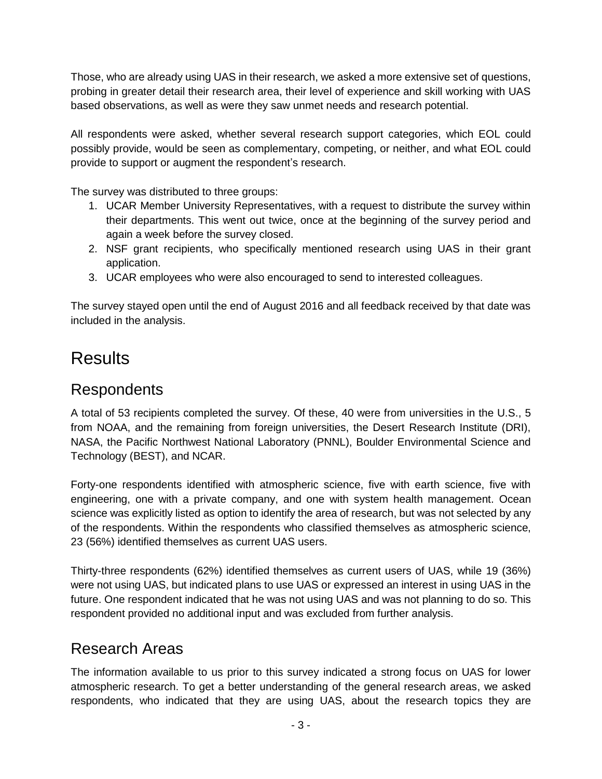Those, who are already using UAS in their research, we asked a more extensive set of questions, probing in greater detail their research area, their level of experience and skill working with UAS based observations, as well as were they saw unmet needs and research potential.

All respondents were asked, whether several research support categories, which EOL could possibly provide, would be seen as complementary, competing, or neither, and what EOL could provide to support or augment the respondent's research.

The survey was distributed to three groups:

- 1. UCAR Member University Representatives, with a request to distribute the survey within their departments. This went out twice, once at the beginning of the survey period and again a week before the survey closed.
- 2. NSF grant recipients, who specifically mentioned research using UAS in their grant application.
- 3. UCAR employees who were also encouraged to send to interested colleagues.

The survey stayed open until the end of August 2016 and all feedback received by that date was included in the analysis.

## **Results**

#### Respondents

A total of 53 recipients completed the survey. Of these, 40 were from universities in the U.S., 5 from NOAA, and the remaining from foreign universities, the Desert Research Institute (DRI), NASA, the Pacific Northwest National Laboratory (PNNL), Boulder Environmental Science and Technology (BEST), and NCAR.

Forty-one respondents identified with atmospheric science, five with earth science, five with engineering, one with a private company, and one with system health management. Ocean science was explicitly listed as option to identify the area of research, but was not selected by any of the respondents. Within the respondents who classified themselves as atmospheric science, 23 (56%) identified themselves as current UAS users.

Thirty-three respondents (62%) identified themselves as current users of UAS, while 19 (36%) were not using UAS, but indicated plans to use UAS or expressed an interest in using UAS in the future. One respondent indicated that he was not using UAS and was not planning to do so. This respondent provided no additional input and was excluded from further analysis.

#### Research Areas

The information available to us prior to this survey indicated a strong focus on UAS for lower atmospheric research. To get a better understanding of the general research areas, we asked respondents, who indicated that they are using UAS, about the research topics they are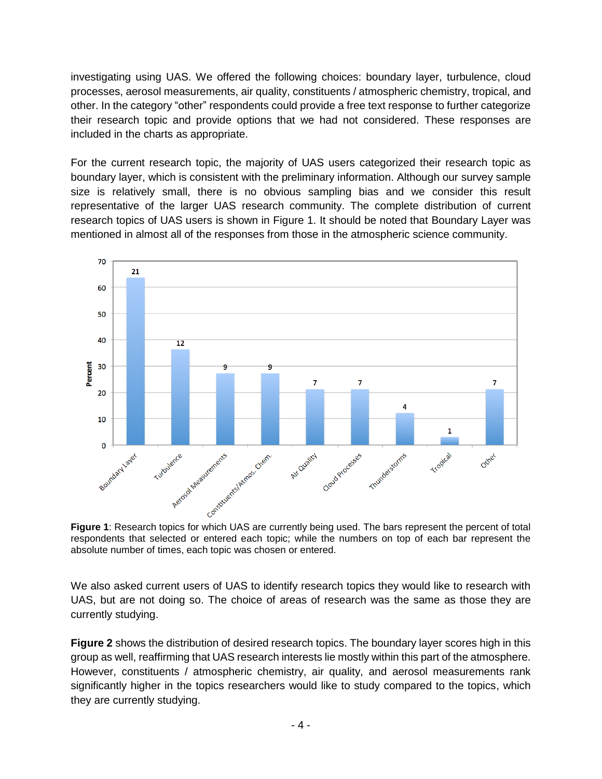investigating using UAS. We offered the following choices: boundary layer, turbulence, cloud processes, aerosol measurements, air quality, constituents / atmospheric chemistry, tropical, and other. In the category "other" respondents could provide a free text response to further categorize their research topic and provide options that we had not considered. These responses are included in the charts as appropriate.

For the current research topic, the majority of UAS users categorized their research topic as boundary layer, which is consistent with the preliminary information. Although our survey sample size is relatively small, there is no obvious sampling bias and we consider this result representative of the larger UAS research community. The complete distribution of current research topics of UAS users is shown in [Figure 1.](#page-3-0) It should be noted that Boundary Layer was mentioned in almost all of the responses from those in the atmospheric science community.



<span id="page-3-0"></span>respondents that selected or entered each topic; while the numbers on top of each bar represent the absolute number of times, each topic was chosen or entered.

We also asked current users of UAS to identify research topics they would like to research with UAS, but are not doing so. The choice of areas of research was the same as those they are currently studying.

**[Figure 2](#page-4-0)** shows the distribution of desired research topics. The boundary layer scores high in this group as well, reaffirming that UAS research interests lie mostly within this part of the atmosphere. However, constituents / atmospheric chemistry, air quality, and aerosol measurements rank significantly higher in the topics researchers would like to study compared to the topics, which they are currently studying.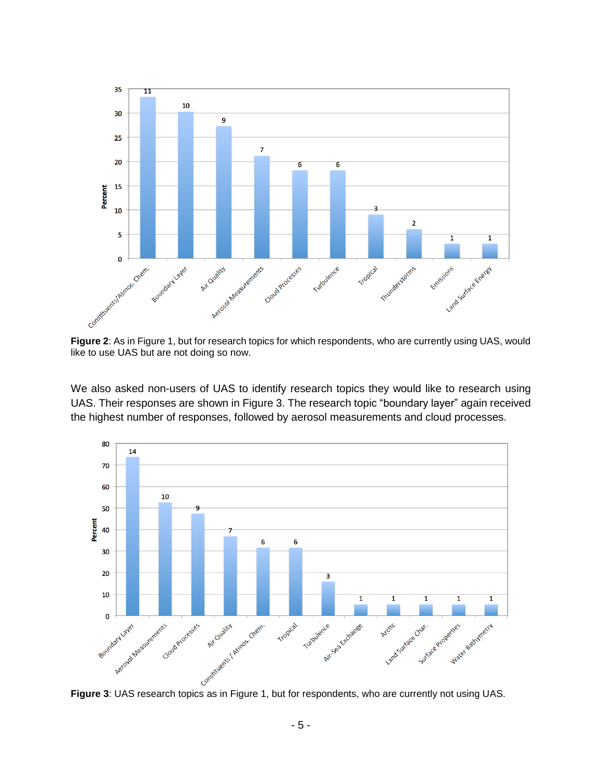

<span id="page-4-0"></span>

We also asked non-users of UAS to identify research topics they would like to research using UAS. Their responses are shown in [Figure 3.](#page-4-1) The research topic "boundary layer" again received the highest number of responses, followed by aerosol measurements and cloud processes.



<span id="page-4-1"></span>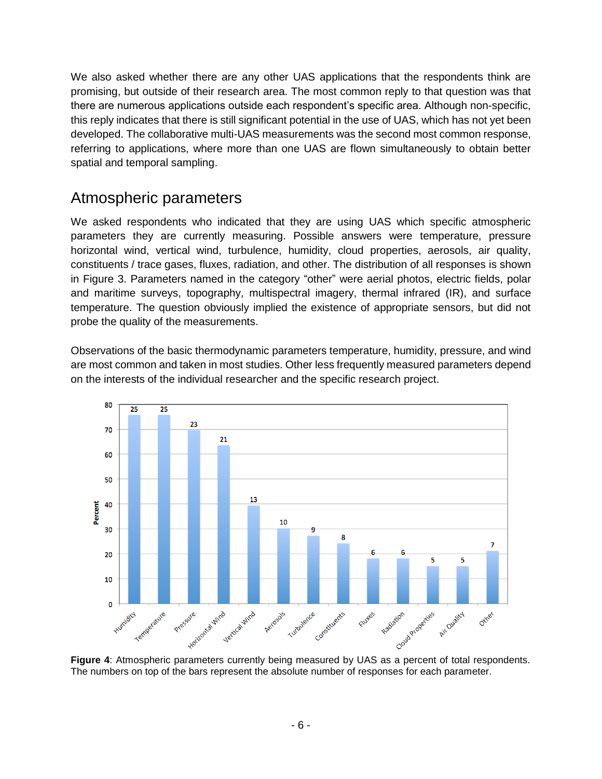We also asked whether there are any other UAS applications that the respondents think are promising, but outside of their research area. The most common reply to that question was that there are numerous applications outside each respondent's specific area. Although non-specific, this reply indicates that there is still significant potential in the use of UAS, which has not yet been developed. The collaborative multi-UAS measurements was the second most common response, referring to applications, where more than one UAS are flown simultaneously to obtain better spatial and temporal sampling.

#### Atmospheric parameters

We asked respondents who indicated that they are using UAS which specific atmospheric parameters they are currently measuring. Possible answers were temperature, pressure horizontal wind, vertical wind, turbulence, humidity, cloud properties, aerosols, air quality, constituents / trace gases, fluxes, radiation, and other. The distribution of all responses is shown in [Figure 3.](#page-4-1) Parameters named in the category "other" were aerial photos, electric fields, polar and maritime surveys, topography, multispectral imagery, thermal infrared (IR), and surface temperature. The question obviously implied the existence of appropriate sensors, but did not probe the quality of the measurements.

Observations of the basic thermodynamic parameters temperature, humidity, pressure, and wind are most common and taken in most studies. Other less frequently measured parameters depend on the interests of the individual researcher and the specific research project.



<span id="page-5-0"></span>The numbers on top of the bars represent the absolute number of responses for each parameter.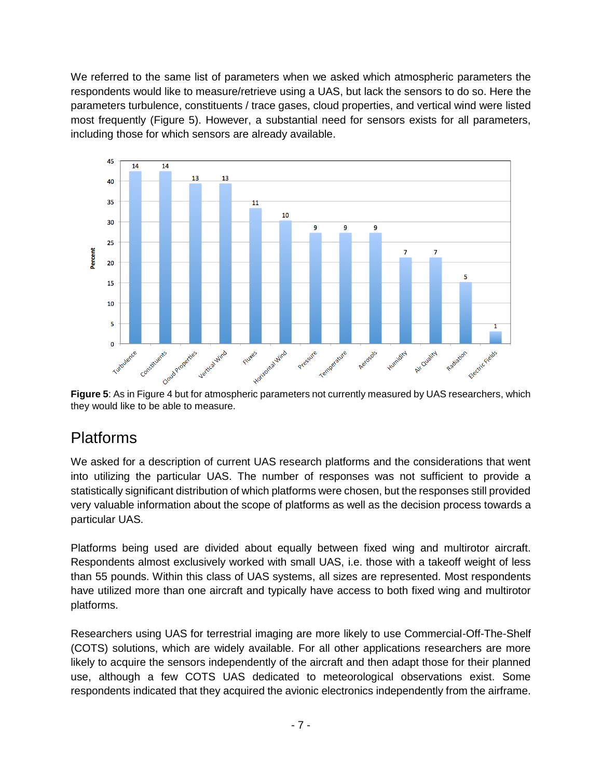We referred to the same list of parameters when we asked which atmospheric parameters the respondents would like to measure/retrieve using a UAS, but lack the sensors to do so. Here the parameters turbulence, constituents / trace gases, cloud properties, and vertical wind were listed most frequently [\(Figure 5\)](#page-6-0). However, a substantial need for sensors exists for all parameters, including those for which sensors are already available.



<span id="page-6-0"></span>**Figure 5**: As i[n Figure 4](#page-5-0) but for atmospheric parameters not currently measured by UAS researchers, which they would like to be able to measure.

### Platforms

We asked for a description of current UAS research platforms and the considerations that went into utilizing the particular UAS. The number of responses was not sufficient to provide a statistically significant distribution of which platforms were chosen, but the responses still provided very valuable information about the scope of platforms as well as the decision process towards a particular UAS.

Platforms being used are divided about equally between fixed wing and multirotor aircraft. Respondents almost exclusively worked with small UAS, i.e. those with a takeoff weight of less than 55 pounds. Within this class of UAS systems, all sizes are represented. Most respondents have utilized more than one aircraft and typically have access to both fixed wing and multirotor platforms.

Researchers using UAS for terrestrial imaging are more likely to use Commercial-Off-The-Shelf (COTS) solutions, which are widely available. For all other applications researchers are more likely to acquire the sensors independently of the aircraft and then adapt those for their planned use, although a few COTS UAS dedicated to meteorological observations exist. Some respondents indicated that they acquired the avionic electronics independently from the airframe.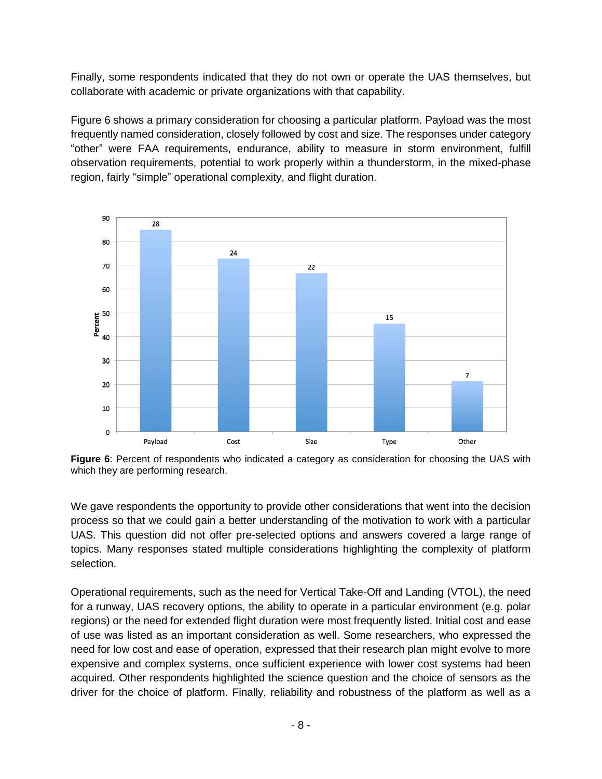Finally, some respondents indicated that they do not own or operate the UAS themselves, but collaborate with academic or private organizations with that capability.

[Figure 6](#page-7-0) shows a primary consideration for choosing a particular platform. Payload was the most frequently named consideration, closely followed by cost and size. The responses under category "other" were FAA requirements, endurance, ability to measure in storm environment, fulfill observation requirements, potential to work properly within a thunderstorm, in the mixed-phase region, fairly "simple" operational complexity, and flight duration.



<span id="page-7-0"></span>**Figure 6**: Percent of respondents who indicated a category as consideration for choosing the UAS with which they are performing research.

We gave respondents the opportunity to provide other considerations that went into the decision process so that we could gain a better understanding of the motivation to work with a particular UAS. This question did not offer pre-selected options and answers covered a large range of topics. Many responses stated multiple considerations highlighting the complexity of platform selection.

Operational requirements, such as the need for Vertical Take-Off and Landing (VTOL), the need for a runway, UAS recovery options, the ability to operate in a particular environment (e.g. polar regions) or the need for extended flight duration were most frequently listed. Initial cost and ease of use was listed as an important consideration as well. Some researchers, who expressed the need for low cost and ease of operation, expressed that their research plan might evolve to more expensive and complex systems, once sufficient experience with lower cost systems had been acquired. Other respondents highlighted the science question and the choice of sensors as the driver for the choice of platform. Finally, reliability and robustness of the platform as well as a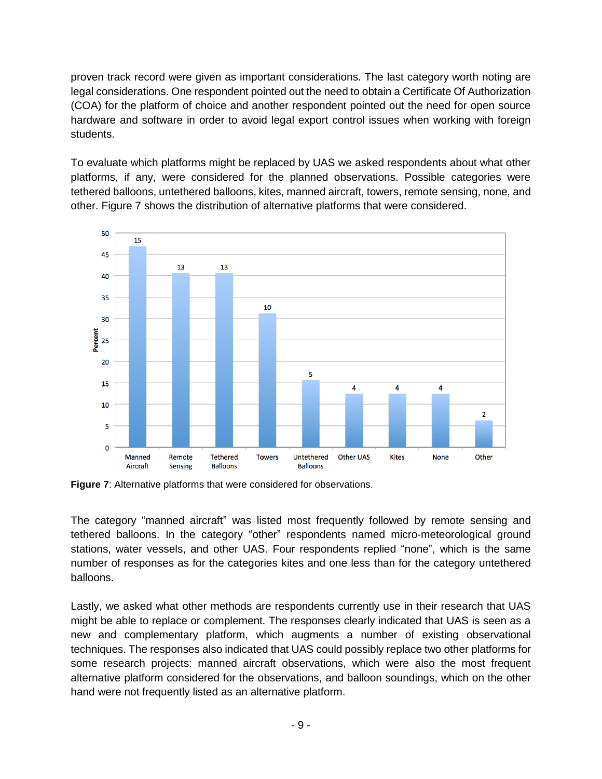proven track record were given as important considerations. The last category worth noting are legal considerations. One respondent pointed out the need to obtain a Certificate Of Authorization (COA) for the platform of choice and another respondent pointed out the need for open source hardware and software in order to avoid legal export control issues when working with foreign students.

To evaluate which platforms might be replaced by UAS we asked respondents about what other platforms, if any, were considered for the planned observations. Possible categories were tethered balloons, untethered balloons, kites, manned aircraft, towers, remote sensing, none, and other. [Figure 7](#page-8-0) shows the distribution of alternative platforms that were considered.



<span id="page-8-0"></span>**Figure 7**: Alternative platforms that were considered for observations.

The category "manned aircraft" was listed most frequently followed by remote sensing and tethered balloons. In the category "other" respondents named micro-meteorological ground stations, water vessels, and other UAS. Four respondents replied "none", which is the same number of responses as for the categories kites and one less than for the category untethered balloons.

Lastly, we asked what other methods are respondents currently use in their research that UAS might be able to replace or complement. The responses clearly indicated that UAS is seen as a new and complementary platform, which augments a number of existing observational techniques. The responses also indicated that UAS could possibly replace two other platforms for some research projects: manned aircraft observations, which were also the most frequent alternative platform considered for the observations, and balloon soundings, which on the other hand were not frequently listed as an alternative platform.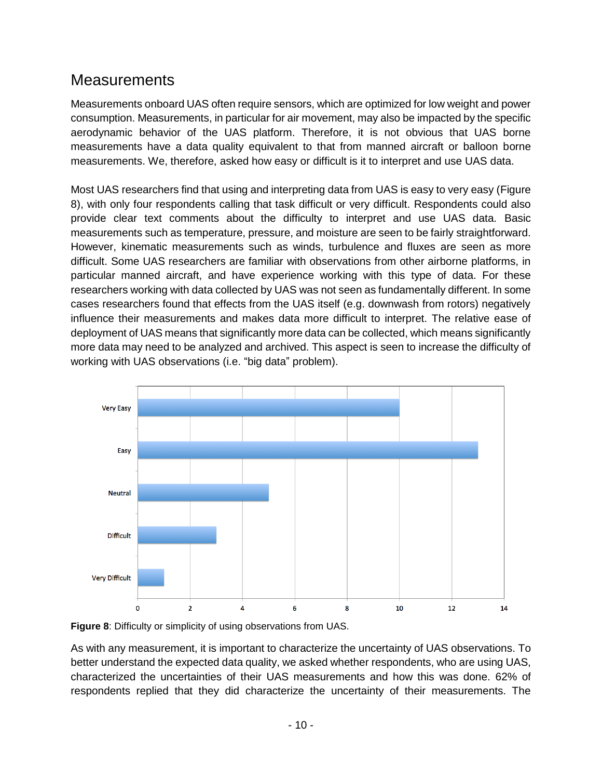#### **Measurements**

Measurements onboard UAS often require sensors, which are optimized for low weight and power consumption. Measurements, in particular for air movement, may also be impacted by the specific aerodynamic behavior of the UAS platform. Therefore, it is not obvious that UAS borne measurements have a data quality equivalent to that from manned aircraft or balloon borne measurements. We, therefore, asked how easy or difficult is it to interpret and use UAS data.

Most UAS researchers find that using and interpreting data from UAS is easy to very easy [\(Figure](#page-9-0)  [8\)](#page-9-0), with only four respondents calling that task difficult or very difficult. Respondents could also provide clear text comments about the difficulty to interpret and use UAS data. Basic measurements such as temperature, pressure, and moisture are seen to be fairly straightforward. However, kinematic measurements such as winds, turbulence and fluxes are seen as more difficult. Some UAS researchers are familiar with observations from other airborne platforms, in particular manned aircraft, and have experience working with this type of data. For these researchers working with data collected by UAS was not seen as fundamentally different. In some cases researchers found that effects from the UAS itself (e.g. downwash from rotors) negatively influence their measurements and makes data more difficult to interpret. The relative ease of deployment of UAS means that significantly more data can be collected, which means significantly more data may need to be analyzed and archived. This aspect is seen to increase the difficulty of working with UAS observations (i.e. "big data" problem).



<span id="page-9-0"></span>

As with any measurement, it is important to characterize the uncertainty of UAS observations. To better understand the expected data quality, we asked whether respondents, who are using UAS, characterized the uncertainties of their UAS measurements and how this was done. 62% of respondents replied that they did characterize the uncertainty of their measurements. The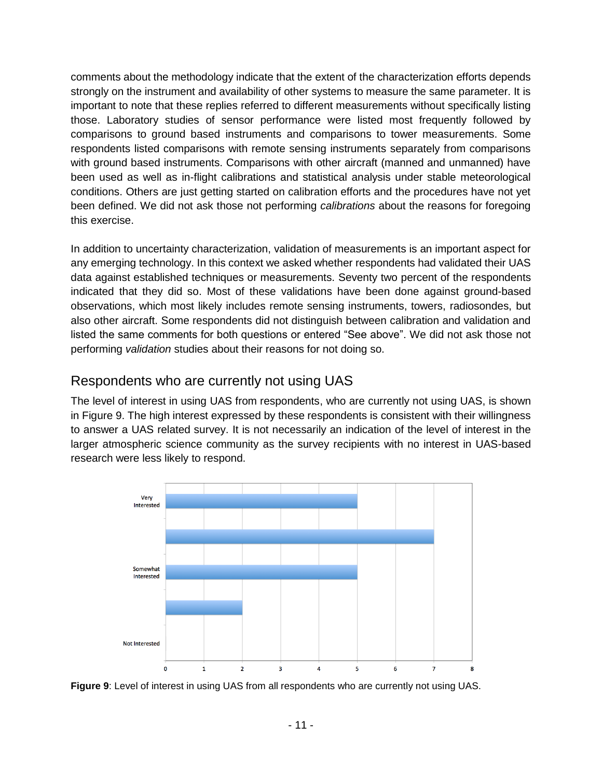comments about the methodology indicate that the extent of the characterization efforts depends strongly on the instrument and availability of other systems to measure the same parameter. It is important to note that these replies referred to different measurements without specifically listing those. Laboratory studies of sensor performance were listed most frequently followed by comparisons to ground based instruments and comparisons to tower measurements. Some respondents listed comparisons with remote sensing instruments separately from comparisons with ground based instruments. Comparisons with other aircraft (manned and unmanned) have been used as well as in-flight calibrations and statistical analysis under stable meteorological conditions. Others are just getting started on calibration efforts and the procedures have not yet been defined. We did not ask those not performing *calibrations* about the reasons for foregoing this exercise.

In addition to uncertainty characterization, validation of measurements is an important aspect for any emerging technology. In this context we asked whether respondents had validated their UAS data against established techniques or measurements. Seventy two percent of the respondents indicated that they did so. Most of these validations have been done against ground-based observations, which most likely includes remote sensing instruments, towers, radiosondes, but also other aircraft. Some respondents did not distinguish between calibration and validation and listed the same comments for both questions or entered "See above". We did not ask those not performing *validation* studies about their reasons for not doing so.

#### Respondents who are currently not using UAS

The level of interest in using UAS from respondents, who are currently not using UAS, is shown in [Figure 9.](#page-10-0) The high interest expressed by these respondents is consistent with their willingness to answer a UAS related survey. It is not necessarily an indication of the level of interest in the larger atmospheric science community as the survey recipients with no interest in UAS-based research were less likely to respond.



<span id="page-10-0"></span>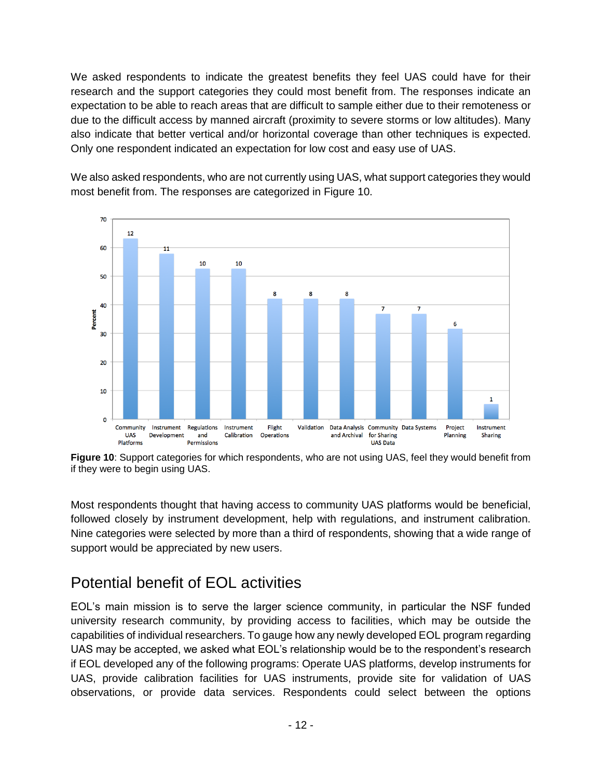We asked respondents to indicate the greatest benefits they feel UAS could have for their research and the support categories they could most benefit from. The responses indicate an expectation to be able to reach areas that are difficult to sample either due to their remoteness or due to the difficult access by manned aircraft (proximity to severe storms or low altitudes). Many also indicate that better vertical and/or horizontal coverage than other techniques is expected. Only one respondent indicated an expectation for low cost and easy use of UAS.

We also asked respondents, who are not currently using UAS, what support categories they would most benefit from. The responses are categorized in [Figure 10.](#page-11-0)



<span id="page-11-0"></span>**Figure 10**: Support categories for which respondents, who are not using UAS, feel they would benefit from if they were to begin using UAS.

Most respondents thought that having access to community UAS platforms would be beneficial, followed closely by instrument development, help with regulations, and instrument calibration. Nine categories were selected by more than a third of respondents, showing that a wide range of support would be appreciated by new users.

### Potential benefit of EOL activities

EOL's main mission is to serve the larger science community, in particular the NSF funded university research community, by providing access to facilities, which may be outside the capabilities of individual researchers. To gauge how any newly developed EOL program regarding UAS may be accepted, we asked what EOL's relationship would be to the respondent's research if EOL developed any of the following programs: Operate UAS platforms, develop instruments for UAS, provide calibration facilities for UAS instruments, provide site for validation of UAS observations, or provide data services. Respondents could select between the options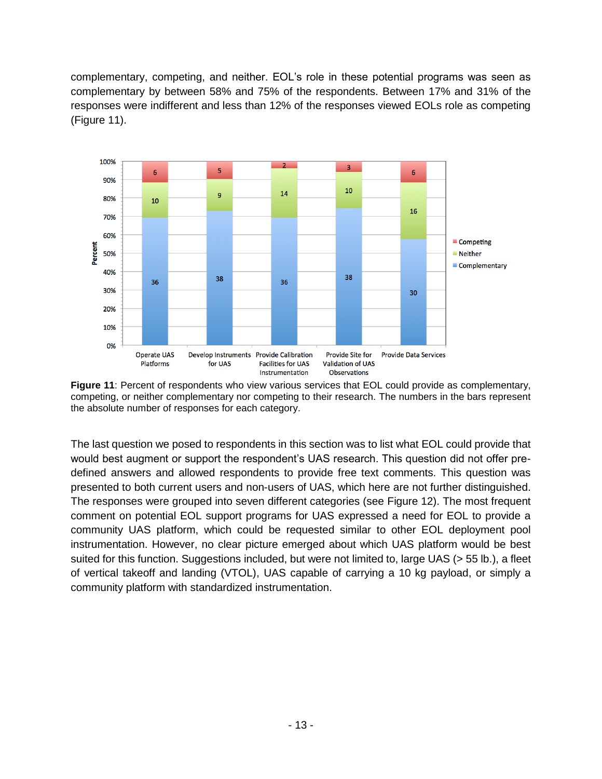complementary, competing, and neither. EOL's role in these potential programs was seen as complementary by between 58% and 75% of the respondents. Between 17% and 31% of the responses were indifferent and less than 12% of the responses viewed EOLs role as competing [\(Figure 11\)](#page-12-0).



<span id="page-12-0"></span>**Figure 11**: Percent of respondents who view various services that EOL could provide as complementary, competing, or neither complementary nor competing to their research. The numbers in the bars represent the absolute number of responses for each category.

The last question we posed to respondents in this section was to list what EOL could provide that would best augment or support the respondent's UAS research. This question did not offer predefined answers and allowed respondents to provide free text comments. This question was presented to both current users and non-users of UAS, which here are not further distinguished. The responses were grouped into seven different categories (see [Figure 12\)](#page-13-0). The most frequent comment on potential EOL support programs for UAS expressed a need for EOL to provide a community UAS platform, which could be requested similar to other EOL deployment pool instrumentation. However, no clear picture emerged about which UAS platform would be best suited for this function. Suggestions included, but were not limited to, large UAS (> 55 lb.), a fleet of vertical takeoff and landing (VTOL), UAS capable of carrying a 10 kg payload, or simply a community platform with standardized instrumentation.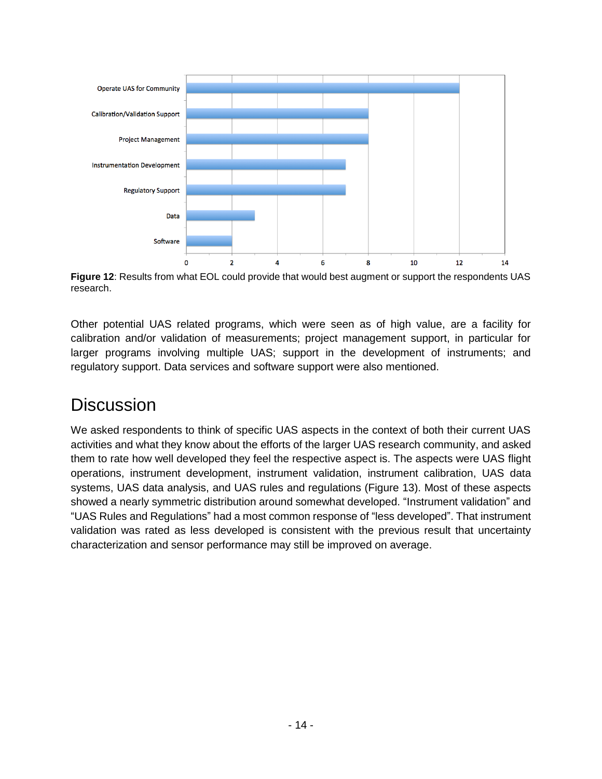

<span id="page-13-0"></span>**Figure 12**: Results from what EOL could provide that would best augment or support the respondents UAS research.

Other potential UAS related programs, which were seen as of high value, are a facility for calibration and/or validation of measurements; project management support, in particular for larger programs involving multiple UAS; support in the development of instruments; and regulatory support. Data services and software support were also mentioned.

## **Discussion**

We asked respondents to think of specific UAS aspects in the context of both their current UAS activities and what they know about the efforts of the larger UAS research community, and asked them to rate how well developed they feel the respective aspect is. The aspects were UAS flight operations, instrument development, instrument validation, instrument calibration, UAS data systems, UAS data analysis, and UAS rules and regulations [\(Figure 13\)](#page-14-0). Most of these aspects showed a nearly symmetric distribution around somewhat developed. "Instrument validation" and "UAS Rules and Regulations" had a most common response of "less developed". That instrument validation was rated as less developed is consistent with the previous result that uncertainty characterization and sensor performance may still be improved on average.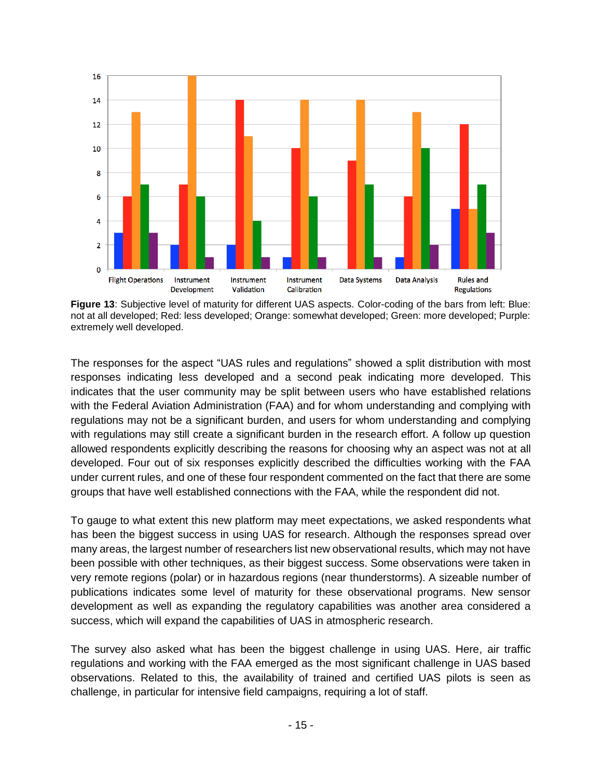

<span id="page-14-0"></span>**Figure 13**: Subjective level of maturity for different UAS aspects. Color-coding of the bars from left: Blue: not at all developed; Red: less developed; Orange: somewhat developed; Green: more developed; Purple: extremely well developed.

The responses for the aspect "UAS rules and regulations" showed a split distribution with most responses indicating less developed and a second peak indicating more developed. This indicates that the user community may be split between users who have established relations with the Federal Aviation Administration (FAA) and for whom understanding and complying with regulations may not be a significant burden, and users for whom understanding and complying with regulations may still create a significant burden in the research effort. A follow up question allowed respondents explicitly describing the reasons for choosing why an aspect was not at all developed. Four out of six responses explicitly described the difficulties working with the FAA under current rules, and one of these four respondent commented on the fact that there are some groups that have well established connections with the FAA, while the respondent did not.

To gauge to what extent this new platform may meet expectations, we asked respondents what has been the biggest success in using UAS for research. Although the responses spread over many areas, the largest number of researchers list new observational results, which may not have been possible with other techniques, as their biggest success. Some observations were taken in very remote regions (polar) or in hazardous regions (near thunderstorms). A sizeable number of publications indicates some level of maturity for these observational programs. New sensor development as well as expanding the regulatory capabilities was another area considered a success, which will expand the capabilities of UAS in atmospheric research.

The survey also asked what has been the biggest challenge in using UAS. Here, air traffic regulations and working with the FAA emerged as the most significant challenge in UAS based observations. Related to this, the availability of trained and certified UAS pilots is seen as challenge, in particular for intensive field campaigns, requiring a lot of staff.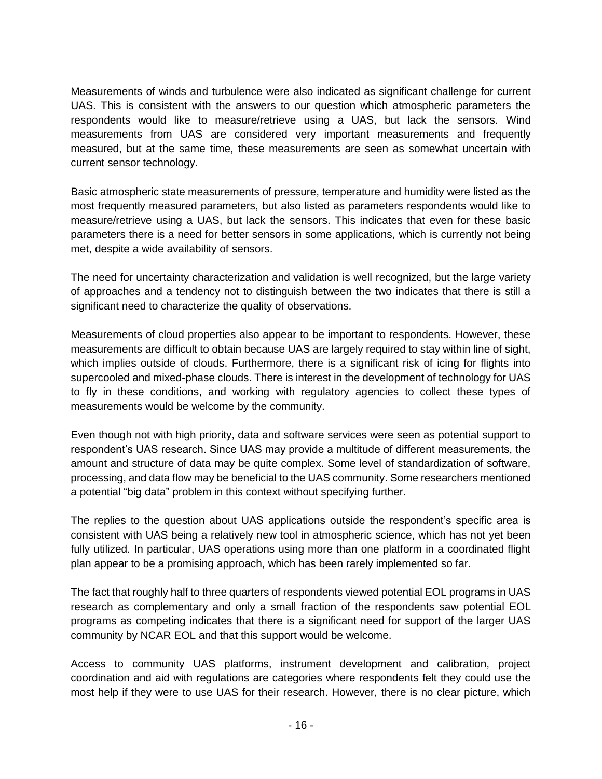Measurements of winds and turbulence were also indicated as significant challenge for current UAS. This is consistent with the answers to our question which atmospheric parameters the respondents would like to measure/retrieve using a UAS, but lack the sensors. Wind measurements from UAS are considered very important measurements and frequently measured, but at the same time, these measurements are seen as somewhat uncertain with current sensor technology.

Basic atmospheric state measurements of pressure, temperature and humidity were listed as the most frequently measured parameters, but also listed as parameters respondents would like to measure/retrieve using a UAS, but lack the sensors. This indicates that even for these basic parameters there is a need for better sensors in some applications, which is currently not being met, despite a wide availability of sensors.

The need for uncertainty characterization and validation is well recognized, but the large variety of approaches and a tendency not to distinguish between the two indicates that there is still a significant need to characterize the quality of observations.

Measurements of cloud properties also appear to be important to respondents. However, these measurements are difficult to obtain because UAS are largely required to stay within line of sight, which implies outside of clouds. Furthermore, there is a significant risk of icing for flights into supercooled and mixed-phase clouds. There is interest in the development of technology for UAS to fly in these conditions, and working with regulatory agencies to collect these types of measurements would be welcome by the community.

Even though not with high priority, data and software services were seen as potential support to respondent's UAS research. Since UAS may provide a multitude of different measurements, the amount and structure of data may be quite complex. Some level of standardization of software, processing, and data flow may be beneficial to the UAS community. Some researchers mentioned a potential "big data" problem in this context without specifying further.

The replies to the question about UAS applications outside the respondent's specific area is consistent with UAS being a relatively new tool in atmospheric science, which has not yet been fully utilized. In particular, UAS operations using more than one platform in a coordinated flight plan appear to be a promising approach, which has been rarely implemented so far.

The fact that roughly half to three quarters of respondents viewed potential EOL programs in UAS research as complementary and only a small fraction of the respondents saw potential EOL programs as competing indicates that there is a significant need for support of the larger UAS community by NCAR EOL and that this support would be welcome.

Access to community UAS platforms, instrument development and calibration, project coordination and aid with regulations are categories where respondents felt they could use the most help if they were to use UAS for their research. However, there is no clear picture, which